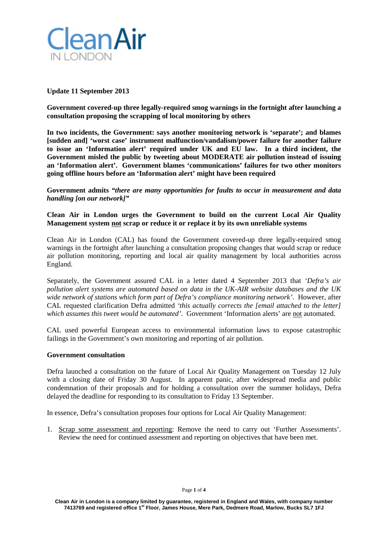

# **Update 11 September 2013**

**Government covered-up three legally-required smog warnings in the fortnight after launching a consultation proposing the scrapping of local monitoring by others**

**In two incidents, the Government: says another monitoring network is 'separate'; and blames [sudden and] 'worst case' instrument malfunction/vandalism/power failure for another failure to issue an 'Information alert' required under UK and EU law. In a third incident, the Government misled the public by tweeting about MODERATE air pollution instead of issuing an 'Information alert'. Government blames 'communications' failures for two other monitors going offline hours before an 'Information alert' might have been required** 

**Government admits** *"there are many opportunities for faults to occur in measurement and data handling [on our network]"*

# **Clean Air in London urges the Government to build on the current Local Air Quality Management system not scrap or reduce it or replace it by its own unreliable systems**

Clean Air in London (CAL) has found the Government covered-up three legally-required smog warnings in the fortnight after launching a consultation proposing changes that would scrap or reduce air pollution monitoring, reporting and local air quality management by local authorities across England.

Separately, the Government assured CAL in a letter dated 4 September 2013 that *'Defra's air pollution alert systems are automated based on data in the UK-AIR website databases and the UK wide network of stations which form part of Defra's compliance monitoring network'*. However, after CAL requested clarification Defra admitted *'this actually corrects the [email attached to the letter] which assumes this tweet would be automated'*. Government 'Information alerts' are not automated.

CAL used powerful European access to environmental information laws to expose catastrophic failings in the Government's own monitoring and reporting of air pollution.

## **Government consultation**

Defra launched a consultation on the future of Local Air Quality Management on Tuesday 12 July with a closing date of Friday 30 August. In apparent panic, after widespread media and public condemnation of their proposals and for holding a consultation over the summer holidays, Defra delayed the deadline for responding to its consultation to Friday 13 September.

In essence, Defra's consultation proposes four options for Local Air Quality Management:

1. Scrap some assessment and reporting: Remove the need to carry out 'Further Assessments'. Review the need for continued assessment and reporting on objectives that have been met.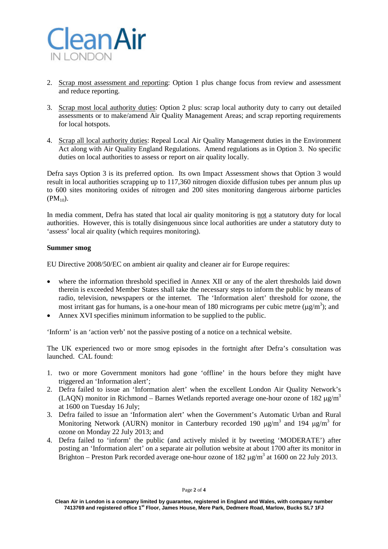

- 2. Scrap most assessment and reporting: Option 1 plus change focus from review and assessment and reduce reporting.
- 3. Scrap most local authority duties: Option 2 plus: scrap local authority duty to carry out detailed assessments or to make/amend Air Quality Management Areas; and scrap reporting requirements for local hotspots.
- 4. Scrap all local authority duties: Repeal Local Air Quality Management duties in the Environment Act along with Air Quality England Regulations. Amend regulations as in Option 3. No specific duties on local authorities to assess or report on air quality locally.

Defra says Option 3 is its preferred option. Its own Impact Assessment shows that Option 3 would result in local authorities scrapping up to 117,360 nitrogen dioxide diffusion tubes per annum plus up to 600 sites monitoring oxides of nitrogen and 200 sites monitoring dangerous airborne particles  $(PM_{10})$ .

In media comment, Defra has stated that local air quality monitoring is not a statutory duty for local authorities. However, this is totally disingenuous since local authorities are under a statutory duty to 'assess' local air quality (which requires monitoring).

# **Summer smog**

EU Directive 2008/50/EC on ambient air quality and cleaner air for Europe requires:

- where the information threshold specified in Annex XII or any of the alert thresholds laid down therein is exceeded Member States shall take the necessary steps to inform the public by means of radio, television, newspapers or the internet. The 'Information alert' threshold for ozone, the most irritant gas for humans, is a one-hour mean of 180 micrograms per cubic metre ( $\mu$ g/m<sup>3</sup>); and
- Annex XVI specifies minimum information to be supplied to the public.

'Inform' is an 'action verb' not the passive posting of a notice on a technical website.

The UK experienced two or more smog episodes in the fortnight after Defra's consultation was launched. CAL found:

- 1. two or more Government monitors had gone 'offline' in the hours before they might have triggered an 'Information alert';
- 2. Defra failed to issue an 'Information alert' when the excellent London Air Quality Network's (LAQN) monitor in Richmond – Barnes Wetlands reported average one-hour ozone of 182  $\mu$ g/m<sup>3</sup> at 1600 on Tuesday 16 July;
- 3. Defra failed to issue an 'Information alert' when the Government's Automatic Urban and Rural Monitoring Network (AURN) monitor in Canterbury recorded 190  $\mu$ g/m<sup>3</sup> and 194  $\mu$ g/m<sup>3</sup> for ozone on Monday 22 July 2013; and
- 4. Defra failed to 'inform' the public (and actively misled it by tweeting 'MODERATE') after posting an 'Information alert' on a separate air pollution website at about 1700 after its monitor in Brighton – Preston Park recorded average one-hour ozone of  $182 \text{ µg/m}^3$  at  $1600$  on  $22 \text{ July } 2013$ .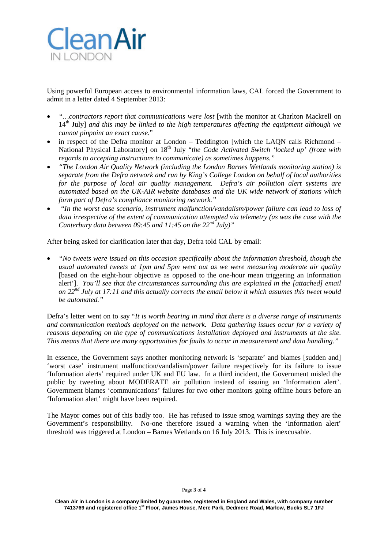

Using powerful European access to environmental information laws, CAL forced the Government to admit in a letter dated 4 September 2013:

- *"…contractors report that communications were lost* [with the monitor at Charlton Mackrell on 14th July] *and this may be linked to the high temperatures affecting the equipment although we cannot pinpoint an exact cause*."
- in respect of the Defra monitor at London Teddington [which the LAQN calls Richmond National Physical Laboratory] on 18<sup>th</sup> July "*the Code Activated Switch 'locked up' (froze with regards to accepting instructions to communicate) as sometimes happens."*
- *"The London Air Quality Network (including the London Barnes Wetlands monitoring station) is separate from the Defra network and run by King's College London on behalf of local authorities for the purpose of local air quality management. Defra's air pollution alert systems are automated based on the UK-AIR website databases and the UK wide network of stations which form part of Defra's compliance monitoring network."*
- *"In the worst case scenario, instrument malfunction/vandalism/power failure can lead to loss of data irrespective of the extent of communication attempted via telemetry (as was the case with the Canterbury data between 09:45 and 11:45 on the 22nd July)"*

After being asked for clarification later that day, Defra told CAL by email:

• *"No tweets were issued on this occasion specifically about the information threshold, though the usual automated tweets at 1pm and 5pm went out as we were measuring moderate air quality* [based on the eight-hour objective as opposed to the one-hour mean triggering an Information alert']. *You'll see that the circumstances surrounding this are explained in the [attached] email on 22nd July at 17:11 and this actually corrects the email below it which assumes this tweet would be automated."*

Defra's letter went on to say "*It is worth bearing in mind that there is a diverse range of instruments and communication methods deployed on the network. Data gathering issues occur for a variety of reasons depending on the type of communications installation deployed and instruments at the site. This means that there are many opportunities for faults to occur in measurement and data handling."*

In essence, the Government says another monitoring network is 'separate' and blames [sudden and] 'worst case' instrument malfunction/vandalism/power failure respectively for its failure to issue 'Information alerts' required under UK and EU law. In a third incident, the Government misled the public by tweeting about MODERATE air pollution instead of issuing an 'Information alert'. Government blames 'communications' failures for two other monitors going offline hours before an 'Information alert' might have been required.

The Mayor comes out of this badly too. He has refused to issue smog warnings saying they are the Government's responsibility. No-one therefore issued a warning when the 'Information alert' threshold was triggered at London – Barnes Wetlands on 16 July 2013. This is inexcusable.

#### Page **3** of **4**